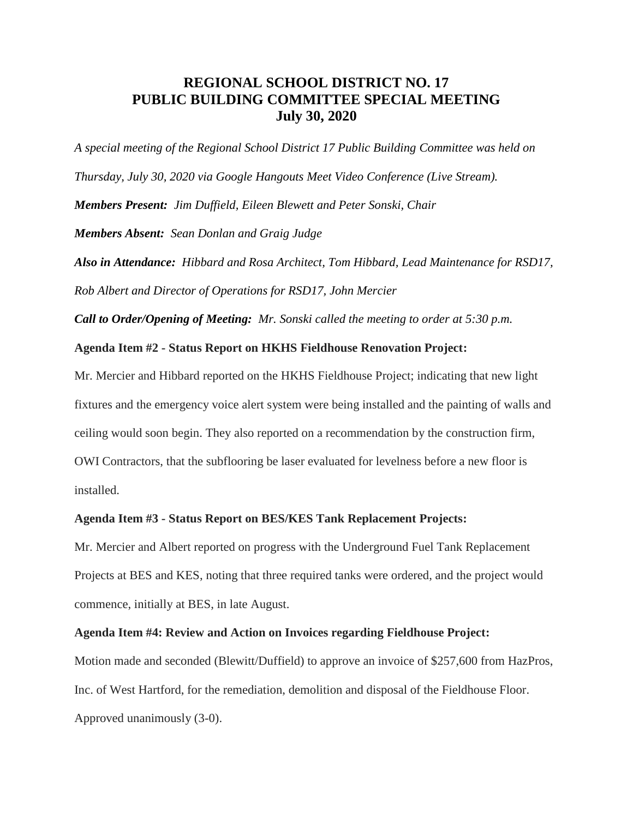# **REGIONAL SCHOOL DISTRICT NO. 17 PUBLIC BUILDING COMMITTEE SPECIAL MEETING July 30, 2020**

*A special meeting of the Regional School District 17 Public Building Committee was held on Thursday, July 30, 2020 via Google Hangouts Meet Video Conference (Live Stream). Members Present: Jim Duffield, Eileen Blewett and Peter Sonski, Chair Members Absent: Sean Donlan and Graig Judge Also in Attendance: Hibbard and Rosa Architect, Tom Hibbard, Lead Maintenance for RSD17,* 

*Rob Albert and Director of Operations for RSD17, John Mercier*

*Call to Order/Opening of Meeting: Mr. Sonski called the meeting to order at 5:30 p.m.* 

#### **Agenda Item #2 - Status Report on HKHS Fieldhouse Renovation Project:**

Mr. Mercier and Hibbard reported on the HKHS Fieldhouse Project; indicating that new light fixtures and the emergency voice alert system were being installed and the painting of walls and ceiling would soon begin. They also reported on a recommendation by the construction firm, OWI Contractors, that the subflooring be laser evaluated for levelness before a new floor is installed.

### **Agenda Item #3 - Status Report on BES/KES Tank Replacement Projects:**

Mr. Mercier and Albert reported on progress with the Underground Fuel Tank Replacement Projects at BES and KES, noting that three required tanks were ordered, and the project would commence, initially at BES, in late August.

#### **Agenda Item #4: Review and Action on Invoices regarding Fieldhouse Project:**

Motion made and seconded (Blewitt/Duffield) to approve an invoice of \$257,600 from HazPros, Inc. of West Hartford, for the remediation, demolition and disposal of the Fieldhouse Floor. Approved unanimously (3-0).